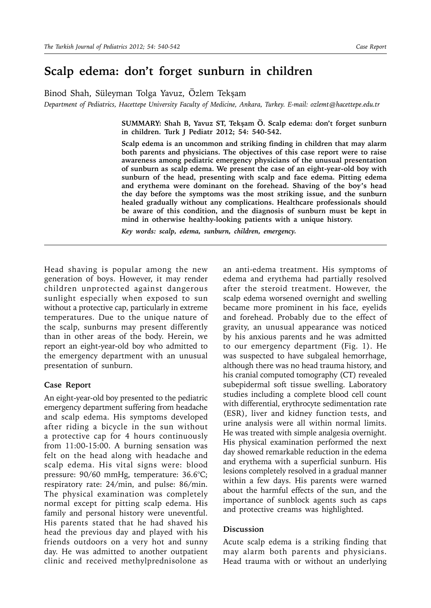## **Scalp edema: don't forget sunburn in children**

Binod Shah, Süleyman Tolga Yavuz, Özlem Tekşam

*Department of Pediatrics, Hacettepe University Faculty of Medicine, Ankara, Turkey. E-mail: ozlemt@hacettepe.edu.tr*

**SUMMARY: Shah B, Yavuz ST, Tekşam Ö. Scalp edema: don't forget sunburn in children. Turk J Pediatr 2012; 54: 540-542.**

**Scalp edema is an uncommon and striking finding in children that may alarm both parents and physicians. The objectives of this case report were to raise awareness among pediatric emergency physicians of the unusual presentation of sunburn as scalp edema. We present the case of an eight-year-old boy with sunburn of the head, presenting with scalp and face edema. Pitting edema and erythema were dominant on the forehead. Shaving of the boy's head the day before the symptoms was the most striking issue, and the sunburn healed gradually without any complications. Healthcare professionals should be aware of this condition, and the diagnosis of sunburn must be kept in mind in otherwise healthy-looking patients with a unique history.**

*Key words: scalp, edema, sunburn, children, emergency.*

Head shaving is popular among the new generation of boys. However, it may render children unprotected against dangerous sunlight especially when exposed to sun without a protective cap, particularly in extreme temperatures. Due to the unique nature of the scalp, sunburns may present differently than in other areas of the body. Herein, we report an eight-year-old boy who admitted to the emergency department with an unusual presentation of sunburn.

## **Case Report**

An eight-year-old boy presented to the pediatric emergency department suffering from headache and scalp edema. His symptoms developed after riding a bicycle in the sun without a protective cap for 4 hours continuously from 11:00-15:00. A burning sensation was felt on the head along with headache and scalp edema. His vital signs were: blood pressure: 90/60 mmHg, temperature: 36.6°C; respiratory rate: 24/min, and pulse: 86/min. The physical examination was completely normal except for pitting scalp edema. His family and personal history were uneventful. His parents stated that he had shaved his head the previous day and played with his friends outdoors on a very hot and sunny day. He was admitted to another outpatient clinic and received methylprednisolone as

an anti-edema treatment. His symptoms of edema and erythema had partially resolved after the steroid treatment. However, the scalp edema worsened overnight and swelling became more prominent in his face, eyelids and forehead. Probably due to the effect of gravity, an unusual appearance was noticed by his anxious parents and he was admitted to our emergency department (Fig. 1). He was suspected to have subgaleal hemorrhage, although there was no head trauma history, and his cranial computed tomography (CT) revealed subepidermal soft tissue swelling. Laboratory studies including a complete blood cell count with differential, erythrocyte sedimentation rate (ESR), liver and kidney function tests, and urine analysis were all within normal limits. He was treated with simple analgesia overnight. His physical examination performed the next day showed remarkable reduction in the edema and erythema with a superficial sunburn. His lesions completely resolved in a gradual manner within a few days. His parents were warned about the harmful effects of the sun, and the importance of sunblock agents such as caps and protective creams was highlighted.

## **Discussion**

Acute scalp edema is a striking finding that may alarm both parents and physicians. Head trauma with or without an underlying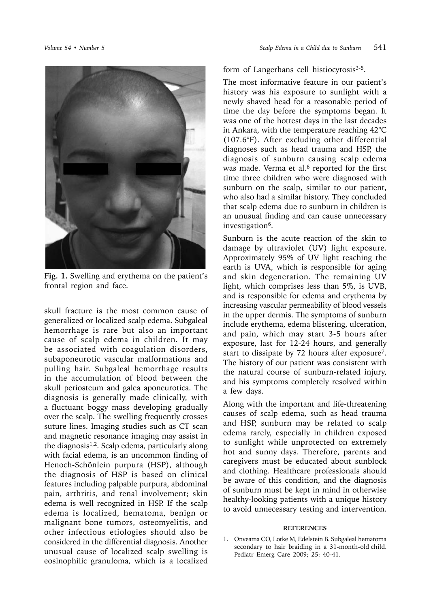

**Fig. 1.** Swelling and erythema on the patient's frontal region and face.

skull fracture is the most common cause of generalized or localized scalp edema. Subgaleal hemorrhage is rare but also an important cause of scalp edema in children. It may be associated with coagulation disorders, subaponeurotic vascular malformations and pulling hair. Subgaleal hemorrhage results in the accumulation of blood between the skull periosteum and galea aponeurotica. The diagnosis is generally made clinically, with a fluctuant boggy mass developing gradually over the scalp. The swelling frequently crosses suture lines. Imaging studies such as CT scan and magnetic resonance imaging may assist in the diagnosis $1,2$ . Scalp edema, particularly along with facial edema, is an uncommon finding of Henoch-Schönlein purpura (HSP), although the diagnosis of HSP is based on clinical features including palpable purpura, abdominal pain, arthritis, and renal involvement; skin edema is well recognized in HSP. If the scalp edema is localized, hematoma, benign or malignant bone tumors, osteomyelitis, and other infectious etiologies should also be considered in the differential diagnosis. Another unusual cause of localized scalp swelling is eosinophilic granuloma, which is a localized

form of Langerhans cell histiocytosis<sup>3-5</sup>.

The most informative feature in our patient's history was his exposure to sunlight with a newly shaved head for a reasonable period of time the day before the symptoms began. It was one of the hottest days in the last decades in Ankara, with the temperature reaching 42°C (107.6°F). After excluding other differential diagnoses such as head trauma and HSP, the diagnosis of sunburn causing scalp edema was made. Verma et al.<sup>6</sup> reported for the first time three children who were diagnosed with sunburn on the scalp, similar to our patient, who also had a similar history. They concluded that scalp edema due to sunburn in children is an unusual finding and can cause unnecessary investigation6.

Sunburn is the acute reaction of the skin to damage by ultraviolet (UV) light exposure. Approximately 95% of UV light reaching the earth is UVA, which is responsible for aging and skin degeneration. The remaining UV light, which comprises less than 5%, is UVB, and is responsible for edema and erythema by increasing vascular permeability of blood vessels in the upper dermis. The symptoms of sunburn include erythema, edema blistering, ulceration, and pain, which may start 3-5 hours after exposure, last for 12-24 hours, and generally start to dissipate by 72 hours after exposure7. The history of our patient was consistent with the natural course of sunburn-related injury, and his symptoms completely resolved within a few days.

Along with the important and life-threatening causes of scalp edema, such as head trauma and HSP, sunburn may be related to scalp edema rarely, especially in children exposed to sunlight while unprotected on extremely hot and sunny days. Therefore, parents and caregivers must be educated about sunblock and clothing. Healthcare professionals should be aware of this condition, and the diagnosis of sunburn must be kept in mind in otherwise healthy-looking patients with a unique history to avoid unnecessary testing and intervention.

## **REFERENCES**

1. Onveama CO, Lotke M, Edelstein B. Subgaleal hematoma secondary to hair braiding in a 31-month-old child. Pediatr Emerg Care 2009; 25: 40-41.